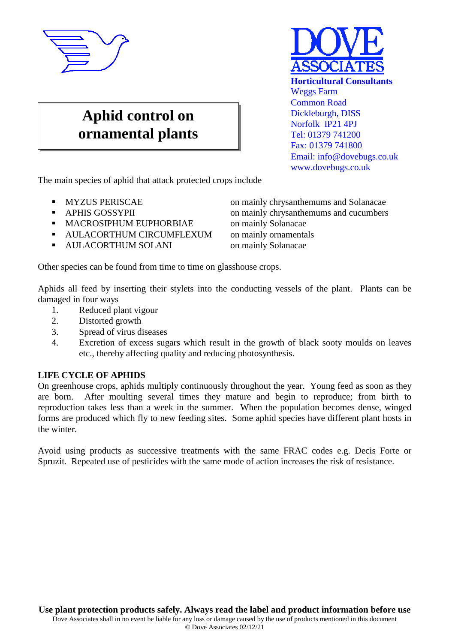

## **Aphid control on ornamental plants**



The main species of aphid that attack protected crops include

- 
- 
- MACROSIPHUM EUPHORBIAE on mainly Solanacae
- AULACORTHUM CIRCUMFLEXUM on mainly ornamentals
- **AULACORTHUM SOLANI** on mainly Solanacae

Other species can be found from time to time on glasshouse crops.

Aphids all feed by inserting their stylets into the conducting vessels of the plant. Plants can be damaged in four ways

- 1. Reduced plant vigour
- 2. Distorted growth
- 3. Spread of virus diseases
- 4. Excretion of excess sugars which result in the growth of black sooty moulds on leaves etc., thereby affecting quality and reducing photosynthesis.

## **LIFE CYCLE OF APHIDS**

On greenhouse crops, aphids multiply continuously throughout the year. Young feed as soon as they are born. After moulting several times they mature and begin to reproduce; from birth to reproduction takes less than a week in the summer. When the population becomes dense, winged forms are produced which fly to new feeding sites. Some aphid species have different plant hosts in the winter.

Avoid using products as successive treatments with the same FRAC codes e.g. Decis Forte or Spruzit. Repeated use of pesticides with the same mode of action increases the risk of resistance.

 MYZUS PERISCAE on mainly chrysanthemums and Solanacae APHIS GOSSYPII on mainly chrysanthemums and cucumbers